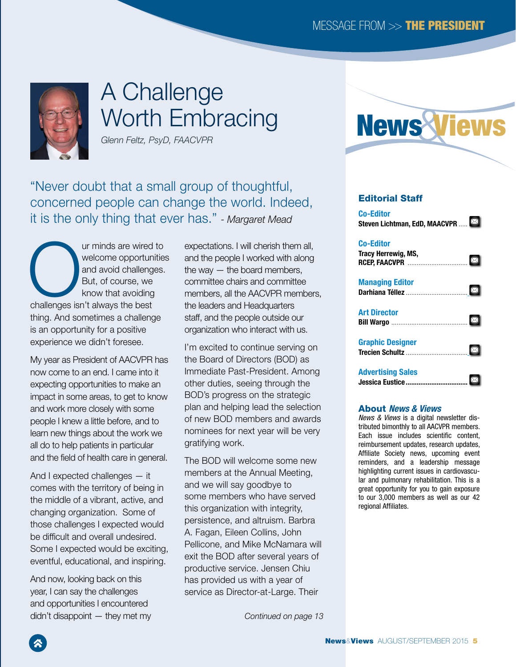<span id="page-0-0"></span>

# A Challenge Worth Embracing

*Glenn Feltz, PsyD, FAACVPR*

"Never doubt that a small group of thoughtful, concerned people can change the world. Indeed, it is the only thing that ever has." *- Margaret Mead*

Ur minds are wired to welcome opportunities<br>
and avoid challenges.<br>
But, of course, we<br>
know that avoiding<br>
challenges isn't always the best welcome opportunities and avoid challenges. But, of course, we know that avoiding thing. And sometimes a challenge is an opportunity for a positive experience we didn't foresee.

My year as President of AACVPR has now come to an end. I came into it expecting opportunities to make an impact in some areas, to get to know and work more closely with some people I knew a little before, and to learn new things about the work we all do to help patients in particular and the field of health care in general.

And I expected challenges — it comes with the territory of being in the middle of a vibrant, active, and changing organization. Some of those challenges I expected would be difficult and overall undesired. Some I expected would be exciting, eventful, educational, and inspiring.

And now, looking back on this year, I can say the challenges and opportunities I encountered didn't disappoint — they met my expectations. I will cherish them all, and the people I worked with along the way — the board members, committee chairs and committee members, all the AACVPR members, the leaders and Headquarters staff, and the people outside our organization who interact with us.

I'm excited to continue serving on the Board of Directors (BOD) as Immediate Past-President. Among other duties, seeing through the BOD's progress on the strategic plan and helping lead the selection of new BOD members and awards nominees for next year will be very gratifying work.

The BOD will welcome some new members at the Annual Meeting, and we will say goodbye to some members who have served this organization with integrity, persistence, and altruism. Barbra A. Fagan, Eileen Collins, John Pellicone, and Mike McNamara will exit the BOD after several years of productive service. Jensen Chiu has provided us with a year of service as Director-at-Large. Their

*[Continued on page 13](#page-1-0)*



### Editorial Staff

[Co-Editor](mailto:lichtman%40helenhayeshosp.org?subject=)  $\boxtimes$ [Steven Lichtman, EdD, MAACVPR](mailto:lichtman%40helenhayeshosp.org?subject=) ..... [Co-Editor](mailto:therrewi%40affinityhealth.org?subject=) [Tracy Herrewig, MS,](mailto:therrewi%40affinityhealth.org?subject=)   $\boxtimes$ RCEP, FAACVPR [.................................](mailto:therrewi%40affinityhealth.org?subject=) Managing Editor  $\boxtimes$ Darhiana Téllez [.](mailto:dtellez%40aacvpr.org?subject=)..................... [Art Director](mailto:bwargo%40smithbucklin.com?subject=)  $\boxtimes$ **Bill Wargo ..........................** Graphic Designer  $|\boxtimes|$ Trecien Schultz [.](mailto:tschultz%40smithbucklin.com?subject=)............ [Advertising Sales](mailto:jeustice%40smithbucklin.com?subject=) **Jessica Eustice............................** 

#### About *News & Views*

*News & Views* is a digital newsletter distributed bimonthly to all AACVPR members. Each issue includes scientific content, reimbursement updates, research updates, Affiliate Society news, upcoming event reminders, and a leadership message highlighting current issues in cardiovascular and pulmonary rehabilitation. This is a great opportunity for you to gain exposure to our 3,000 members as well as our 42 regional Affiliates.